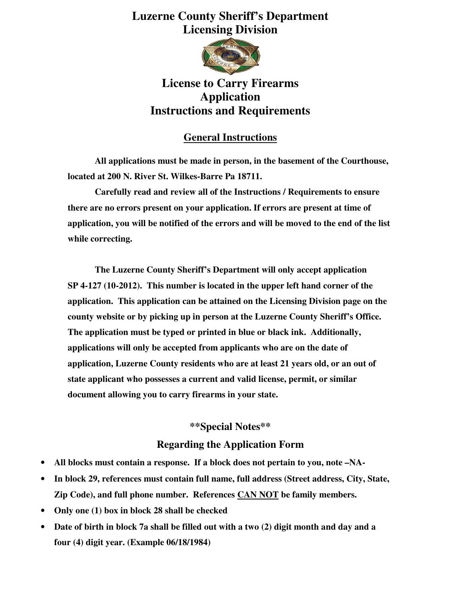# **Luzerne County Sheriff's Department Licensing Division**



## **License to Carry Firearms Application Instructions and Requirements**

### **General Instructions**

 **All applications must be made in person, in the basement of the Courthouse, located at 200 N. River St. Wilkes-Barre Pa 18711.** 

 **Carefully read and review all of the Instructions / Requirements to ensure there are no errors present on your application. If errors are present at time of application, you will be notified of the errors and will be moved to the end of the list while correcting.** 

 **The Luzerne County Sheriff's Department will only accept application SP 4-127 (10-2012). This number is located in the upper left hand corner of the application. This application can be attained on the Licensing Division page on the county website or by picking up in person at the Luzerne County Sheriff's Office. The application must be typed or printed in blue or black ink. Additionally, applications will only be accepted from applicants who are on the date of application, Luzerne County residents who are at least 21 years old, or an out of state applicant who possesses a current and valid license, permit, or similar document allowing you to carry firearms in your state.** 

#### **\*\*Special Notes\*\***

#### **Regarding the Application Form**

- **All blocks must contain a response. If a block does not pertain to you, note –NA-**
- **In block 29, references must contain full name, full address (Street address, City, State, Zip Code), and full phone number. References CAN NOT be family members.**
- **Only one (1) box in block 28 shall be checked**
- **Date of birth in block 7a shall be filled out with a two (2) digit month and day and a four (4) digit year. (Example 06/18/1984)**